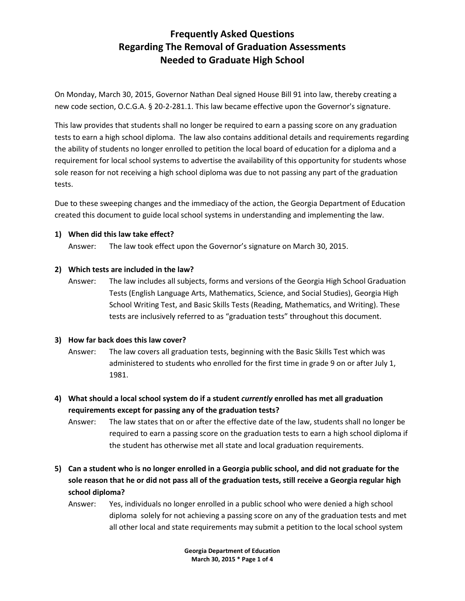# **Frequently Asked Questions Regarding The Removal of Graduation Assessments Needed to Graduate High School**

On Monday, March 30, 2015, Governor Nathan Deal signed House Bill 91 into law, thereby creating a new code section, O.C.G.A. § 20-2-281.1. This law became effective upon the Governor's signature.

This law provides that students shall no longer be required to earn a passing score on any graduation tests to earn a high school diploma. The law also contains additional details and requirements regarding the ability of students no longer enrolled to petition the local board of education for a diploma and a requirement for local school systems to advertise the availability of this opportunity for students whose sole reason for not receiving a high school diploma was due to not passing any part of the graduation tests.

Due to these sweeping changes and the immediacy of the action, the Georgia Department of Education created this document to guide local school systems in understanding and implementing the law.

### **1) When did this law take effect?**

Answer: The law took effect upon the Governor's signature on March 30, 2015.

### **2) Which tests are included in the law?**

Answer: The law includes all subjects, forms and versions of the Georgia High School Graduation Tests (English Language Arts, Mathematics, Science, and Social Studies), Georgia High School Writing Test, and Basic Skills Tests (Reading, Mathematics, and Writing). These tests are inclusively referred to as "graduation tests" throughout this document.

## **3) How far back does this law cover?**

- Answer: The law covers all graduation tests, beginning with the Basic Skills Test which was administered to students who enrolled for the first time in grade 9 on or after July 1, 1981.
- **4) What should a local school system do if a student** *currently* **enrolled has met all graduation requirements except for passing any of the graduation tests?**
	- Answer: The law states that on or after the effective date of the law, students shall no longer be required to earn a passing score on the graduation tests to earn a high school diploma if the student has otherwise met all state and local graduation requirements.
- **5) Can a student who is no longer enrolled in a Georgia public school, and did not graduate for the sole reason that he or did not pass all of the graduation tests, still receive a Georgia regular high school diploma?**
	- Answer: Yes, individuals no longer enrolled in a public school who were denied a high school diploma solely for not achieving a passing score on any of the graduation tests and met all other local and state requirements may submit a petition to the local school system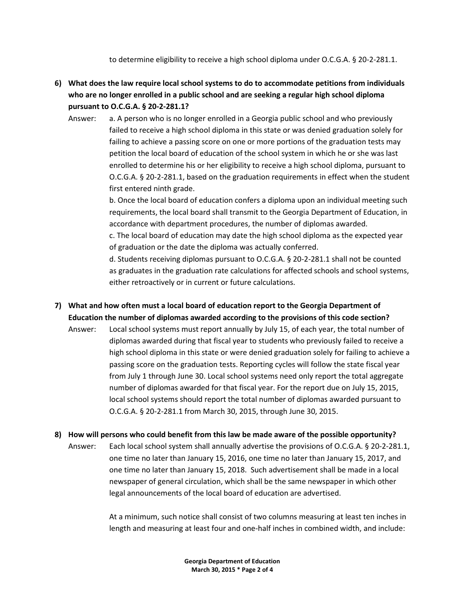to determine eligibility to receive a high school diploma under O.C.G.A. § 20-2-281.1.

- **6) What does the law require local school systems to do to accommodate petitions from individuals who are no longer enrolled in a public school and are seeking a regular high school diploma pursuant to O.C.G.A. § 20-2-281.1?**
	- Answer: a. A person who is no longer enrolled in a Georgia public school and who previously failed to receive a high school diploma in this state or was denied graduation solely for failing to achieve a passing score on one or more portions of the graduation tests may petition the local board of education of the school system in which he or she was last enrolled to determine his or her eligibility to receive a high school diploma, pursuant to O.C.G.A. § 20-2-281.1, based on the graduation requirements in effect when the student first entered ninth grade.

b. Once the local board of education confers a diploma upon an individual meeting such requirements, the local board shall transmit to the Georgia Department of Education, in accordance with department procedures, the number of diplomas awarded.

c. The local board of education may date the high school diploma as the expected year of graduation or the date the diploma was actually conferred.

d. Students receiving diplomas pursuant to O.C.G.A. § 20-2-281.1 shall not be counted as graduates in the graduation rate calculations for affected schools and school systems, either retroactively or in current or future calculations.

- **7) What and how often must a local board of education report to the Georgia Department of Education the number of diplomas awarded according to the provisions of this code section?**
	- Answer: Local school systems must report annually by July 15, of each year, the total number of diplomas awarded during that fiscal year to students who previously failed to receive a high school diploma in this state or were denied graduation solely for failing to achieve a passing score on the graduation tests. Reporting cycles will follow the state fiscal year from July 1 through June 30. Local school systems need only report the total aggregate number of diplomas awarded for that fiscal year. For the report due on July 15, 2015, local school systems should report the total number of diplomas awarded pursuant to O.C.G.A. § 20-2-281.1 from March 30, 2015, through June 30, 2015.
- **8) How will persons who could benefit from this law be made aware of the possible opportunity?**
	- Answer: Each local school system shall annually advertise the provisions of O.C.G.A. § 20-2-281.1, one time no later than January 15, 2016, one time no later than January 15, 2017, and one time no later than January 15, 2018. Such advertisement shall be made in a local newspaper of general circulation, which shall be the same newspaper in which other legal announcements of the local board of education are advertised.

At a minimum, such notice shall consist of two columns measuring at least ten inches in length and measuring at least four and one-half inches in combined width, and include:

> **Georgia Department of Education March 30, 2015 \* Page 2 of 4**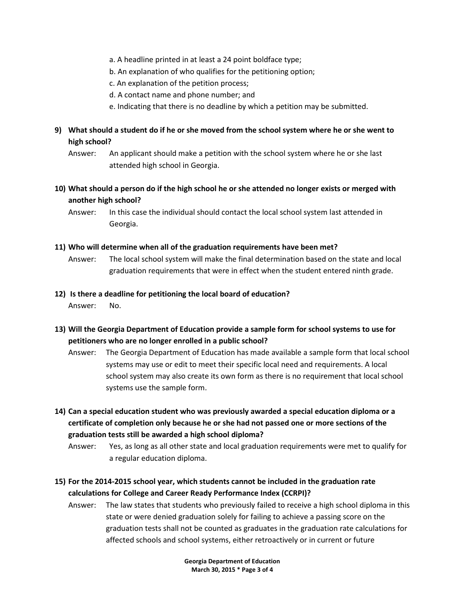- a. A headline printed in at least a 24 point boldface type;
- b. An explanation of who qualifies for the petitioning option;
- c. An explanation of the petition process;
- d. A contact name and phone number; and
- e. Indicating that there is no deadline by which a petition may be submitted.
- **9) What should a student do if he or she moved from the school system where he or she went to high school?**
	- Answer: An applicant should make a petition with the school system where he or she last attended high school in Georgia.
- **10) What should a person do if the high school he or she attended no longer exists or merged with another high school?**
	- Answer: In this case the individual should contact the local school system last attended in Georgia.

#### **11) Who will determine when all of the graduation requirements have been met?**

- Answer: The local school system will make the final determination based on the state and local graduation requirements that were in effect when the student entered ninth grade.
- **12) Is there a deadline for petitioning the local board of education?** Answer: No.
- **13) Will the Georgia Department of Education provide a sample form for school systems to use for petitioners who are no longer enrolled in a public school?**
	- Answer: The Georgia Department of Education has made available a sample form that local school systems may use or edit to meet their specific local need and requirements. A local school system may also create its own form as there is no requirement that local school systems use the sample form.
- **14) Can a special education student who was previously awarded a special education diploma or a certificate of completion only because he or she had not passed one or more sections of the graduation tests still be awarded a high school diploma?**
	- Answer: Yes, as long as all other state and local graduation requirements were met to qualify for a regular education diploma.
- **15) For the 2014-2015 school year, which students cannot be included in the graduation rate calculations for College and Career Ready Performance Index (CCRPI)?**
	- Answer: The law states that students who previously failed to receive a high school diploma in this state or were denied graduation solely for failing to achieve a passing score on the graduation tests shall not be counted as graduates in the graduation rate calculations for affected schools and school systems, either retroactively or in current or future

**Georgia Department of Education March 30, 2015 \* Page 3 of 4**